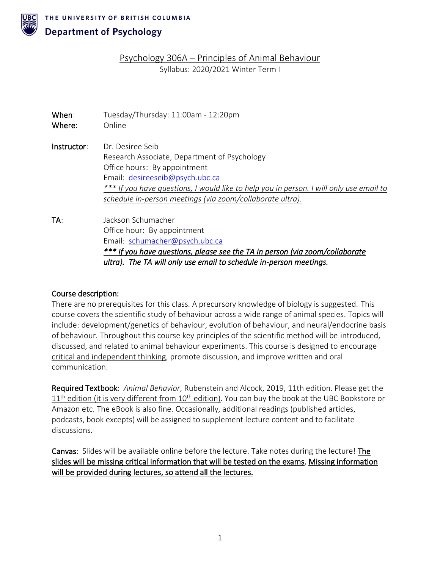

THE UNIVERSITY OF BRITISH COLUMBIA

# **Department of Psychology**

Psychology 306A – Principles of Animal Behaviour Syllabus: 2020/2021 Winter Term I

| When:<br>Where: | Tuesday/Thursday: 11:00am - 12:20pm<br>Online                                           |  |
|-----------------|-----------------------------------------------------------------------------------------|--|
| Instructor:     | Dr. Desiree Seib<br>Research Associate, Department of Psychology                        |  |
|                 | Office hours: By appointment                                                            |  |
|                 | Email: desireeseib@psych.ubc.ca                                                         |  |
|                 | *** If you have questions, I would like to help you in person. I will only use email to |  |
|                 | schedule in-person meetings (via zoom/collaborate ultra).                               |  |
| TA:             | Jackson Schumacher                                                                      |  |
|                 | Office hour: By appointment                                                             |  |
|                 | Email: schumacher@psych.ubc.ca                                                          |  |
|                 | *** If you have questions, please see the TA in person (via zoom/collaborate            |  |
|                 | ultra). The TA will only use email to schedule in-person meetings.                      |  |

#### Course description:

There are no prerequisites for this class. A precursory knowledge of biology is suggested. This course covers the scientific study of behaviour across a wide range of animal species. Topics will include: development/genetics of behaviour, evolution of behaviour, and neural/endocrine basis of behaviour. Throughout this course key principles of the scientific method will be introduced, discussed, and related to animal behaviour experiments. This course is designed to encourage critical and independent thinking, promote discussion, and improve written and oral communication.

Required Textbook: *Animal Behavior*, Rubenstein and Alcock, 2019, 11th edition. Please get the  $11<sup>th</sup>$  edition (it is very different from  $10<sup>th</sup>$  edition). You can buy the book at the UBC Bookstore or Amazon etc. The eBook is also fine. Occasionally, additional readings (published articles, podcasts, book excepts) will be assigned to supplement lecture content and to facilitate discussions.

Canvas: Slides will be available online before the lecture. Take notes during the lecture! The slides will be missing critical information that will be tested on the exams. Missing information will be provided during lectures, so attend all the lectures.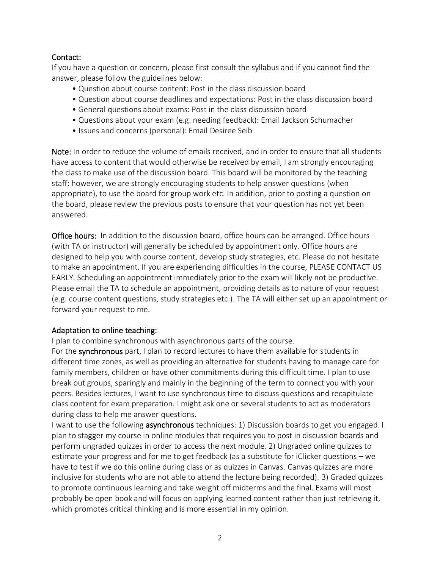## Contact:

If you have a question or concern, please first consult the syllabus and if you cannot find the answer, please follow the guidelines below:

- Question about course content: Post in the class discussion board
- Question about course deadlines and expectations: Post in the class discussion board
- General questions about exams: Post in the class discussion board
- Questions about your exam (e.g. needing feedback): Email Jackson Schumacher
- Issues and concerns (personal): Email Desiree Seib

Note: In order to reduce the volume of emails received, and in order to ensure that all students have access to content that would otherwise be received by email, I am strongly encouraging the class to make use of the discussion board. This board will be monitored by the teaching staff; however, we are strongly encouraging students to help answer questions (when appropriate), to use the board for group work etc. In addition, prior to posting a question on the board, please review the previous posts to ensure that your question has not yet been answered.

**Office hours:** In addition to the discussion board, office hours can be arranged. Office hours (with TA or instructor) will generally be scheduled by appointment only. Office hours are designed to help you with course content, develop study strategies, etc. Please do not hesitate to make an appointment. If you are experiencing difficulties in the course, PLEASE CONTACT US EARLY. Scheduling an appointment immediately prior to the exam will likely not be productive. Please email the TA to schedule an appointment, providing details as to nature of your request (e.g. course content questions, study strategies etc.). The TA will either set up an appointment or forward your request to me.

#### Adaptation to online teaching:

I plan to combine synchronous with asynchronous parts of the course.

For the synchronous part, I plan to record lectures to have them available for students in different time zones, as well as providing an alternative for students having to manage care for family members, children or have other commitments during this difficult time. I plan to use break out groups, sparingly and mainly in the beginning of the term to connect you with your peers. Besides lectures, I want to use synchronous time to discuss questions and recapitulate class content for exam preparation. I might ask one or several students to act as moderators during class to help me answer questions.

I want to use the following **asynchronous** techniques: 1) Discussion boards to get you engaged. I plan to stagger my course in online modules that requires you to post in discussion boards and perform ungraded quizzes in order to access the next module. 2) Ungraded online quizzes to estimate your progress and for me to get feedback (as a substitute for iClicker questions – we have to test if we do this online during class or as quizzes in Canvas. Canvas quizzes are more inclusive for students who are not able to attend the lecture being recorded). 3) Graded quizzes to promote continuous learning and take weight off midterms and the final. Exams will most probably be open book and will focus on applying learned content rather than just retrieving it, which promotes critical thinking and is more essential in my opinion.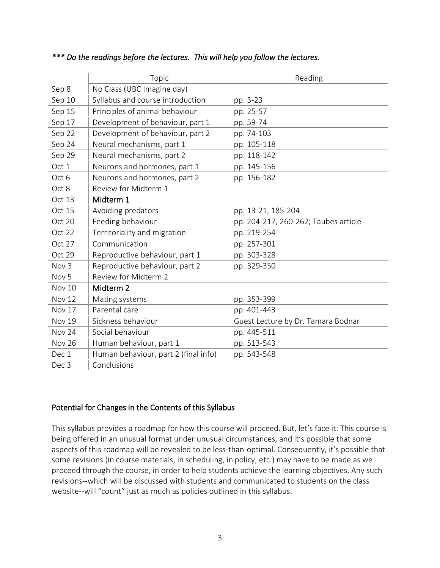|                  | Topic                                | Reading                              |  |
|------------------|--------------------------------------|--------------------------------------|--|
| Sep 8            | No Class (UBC Imagine day)           |                                      |  |
| Sep 10           | Syllabus and course introduction     | pp. 3-23                             |  |
| Sep 15           | Principles of animal behaviour       | pp. 25-57                            |  |
| Sep 17           | Development of behaviour, part 1     | pp. 59-74                            |  |
| Sep 22           | Development of behaviour, part 2     | pp. 74-103                           |  |
| Sep 24           | Neural mechanisms, part 1            | pp. 105-118                          |  |
| Sep 29           | Neural mechanisms, part 2            | pp. 118-142                          |  |
| Oct 1            | Neurons and hormones, part 1         | pp. 145-156                          |  |
| Oct 6            | Neurons and hormones, part 2         | pp. 156-182                          |  |
| Oct 8            | Review for Midterm 1                 |                                      |  |
| Oct 13           | Midterm 1                            |                                      |  |
| Oct 15           | Avoiding predators                   | pp. 13-21, 185-204                   |  |
| Oct 20           | Feeding behaviour                    | pp. 204-217, 260-262; Taubes article |  |
| Oct 22           | Territoriality and migration         | pp. 219-254                          |  |
| Oct 27           | Communication                        | pp. 257-301                          |  |
| Oct 29           | Reproductive behaviour, part 1       | pp. 303-328                          |  |
| Nov <sub>3</sub> | Reproductive behaviour, part 2       | pp. 329-350                          |  |
| Nov <sub>5</sub> | Review for Midterm 2                 |                                      |  |
| Nov 10           | Midterm 2                            |                                      |  |
| <b>Nov 12</b>    | Mating systems                       | pp. 353-399                          |  |
| Nov 17           | Parental care                        | pp. 401-443                          |  |
| Nov 19           | Sickness behaviour                   | Guest Lecture by Dr. Tamara Bodnar   |  |
| Nov 24           | Social behaviour                     | pp. 445-511                          |  |
| <b>Nov 26</b>    | Human behaviour, part 1              | pp. 513-543                          |  |
| Dec 1            | Human behaviour, part 2 (final info) | pp. 543-548                          |  |
| Dec <sub>3</sub> | Conclusions                          |                                      |  |

## *\*\*\* Do the readings before the lectures. This will help you follow the lectures.*

#### Potential for Changes in the Contents of this Syllabus

This syllabus provides a roadmap for how this course will proceed. But, let's face it: This course is being offered in an unusual format under unusual circumstances, and it's possible that some aspects of this roadmap will be revealed to be less-than-optimal. Consequently, it's possible that some revisions (in course materials, in scheduling, in policy, etc.) may have to be made as we proceed through the course, in order to help students achieve the learning objectives. Any such revisions--which will be discussed with students and communicated to students on the class website--will "count" just as much as policies outlined in this syllabus.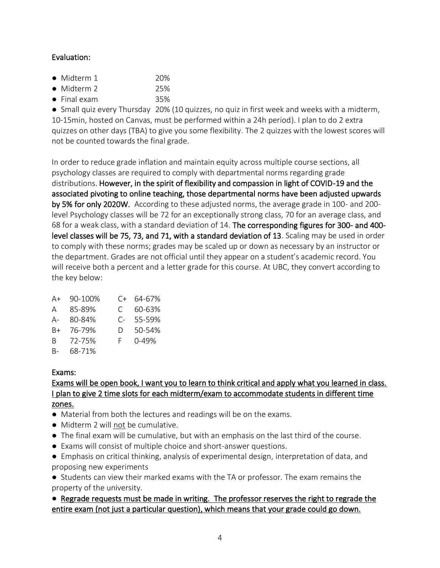## Evaluation:

- Midterm 1 20%
- Midterm 2 25%
- Final exam 35%

● Small quiz every Thursday 20% (10 quizzes, no quiz in first week and weeks with a midterm, 10-15min, hosted on Canvas, must be performed within a 24h period). I plan to do 2 extra quizzes on other days (TBA) to give you some flexibility. The 2 quizzes with the lowest scores will not be counted towards the final grade.

In order to reduce grade inflation and maintain equity across multiple course sections, all psychology classes are required to comply with departmental norms regarding grade distributions. However, in the spirit of flexibility and compassion in light of COVID-19 and the associated pivoting to online teaching, those departmental norms have been adjusted upwards by 5% for only 2020W. According to these adjusted norms, the average grade in 100- and 200 level Psychology classes will be 72 for an exceptionally strong class, 70 for an average class, and 68 for a weak class, with a standard deviation of 14. The corresponding figures for 300- and 400 level classes will be 75, 73, and 71, with a standard deviation of 13. Scaling may be used in order to comply with these norms; grades may be scaled up or down as necessary by an instructor or the department. Grades are not official until they appear on a student's academic record. You will receive both a percent and a letter grade for this course. At UBC, they convert according to the key below:

| A+ | 90-100%  |    | C+ 64-67% |
|----|----------|----|-----------|
|    | A 85-89% | C. | 60-63%    |
| A- | 80-84%   | C- | 55-59%    |
| B+ | 76-79%   | D. | 50-54%    |
| B. | 72-75%   | F. | 0-49%     |
| B- | 68-71%   |    |           |

#### Exams:

# Exams will be open book, I want you to learn to think critical and apply what you learned in class. I plan to give 2 time slots for each midterm/exam to accommodate students in different time zones.

- Material from both the lectures and readings will be on the exams.
- Midterm 2 will not be cumulative.
- The final exam will be cumulative, but with an emphasis on the last third of the course.
- Exams will consist of multiple choice and short-answer questions.
- Emphasis on critical thinking, analysis of experimental design, interpretation of data, and proposing new experiments

● Students can view their marked exams with the TA or professor. The exam remains the property of the university.

#### ● Regrade requests must be made in writing. The professor reserves the right to regrade the entire exam (not just a particular question), which means that your grade could go down.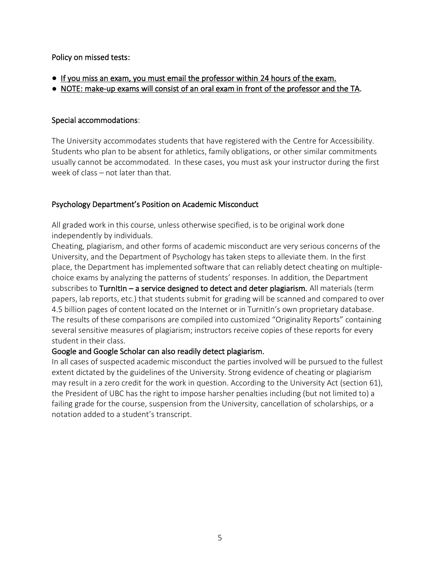Policy on missed tests:

- If you miss an exam, you must email the professor within 24 hours of the exam.
- NOTE: make-up exams will consist of an oral exam in front of the professor and the TA.

#### Special accommodations:

The University accommodates students that have registered with the Centre for Accessibility. Students who plan to be absent for athletics, family obligations, or other similar commitments usually cannot be accommodated. In these cases, you must ask your instructor during the first week of class – not later than that.

#### Psychology Department's Position on Academic Misconduct

All graded work in this course, unless otherwise specified, is to be original work done independently by individuals.

Cheating, plagiarism, and other forms of academic misconduct are very serious concerns of the University, and the Department of Psychology has taken steps to alleviate them. In the first place, the Department has implemented software that can reliably detect cheating on multiplechoice exams by analyzing the patterns of students' responses. In addition, the Department subscribes to Turnitin – a service designed to detect and deter plagiarism. All materials (term papers, lab reports, etc.) that students submit for grading will be scanned and compared to over 4.5 billion pages of content located on the Internet or in TurnitIn's own proprietary database. The results of these comparisons are compiled into customized "Originality Reports" containing several sensitive measures of plagiarism; instructors receive copies of these reports for every student in their class.

#### Google and Google Scholar can also readily detect plagiarism.

In all cases of suspected academic misconduct the parties involved will be pursued to the fullest extent dictated by the guidelines of the University. Strong evidence of cheating or plagiarism may result in a zero credit for the work in question. According to the University Act (section 61), the President of UBC has the right to impose harsher penalties including (but not limited to) a failing grade for the course, suspension from the University, cancellation of scholarships, or a notation added to a student's transcript.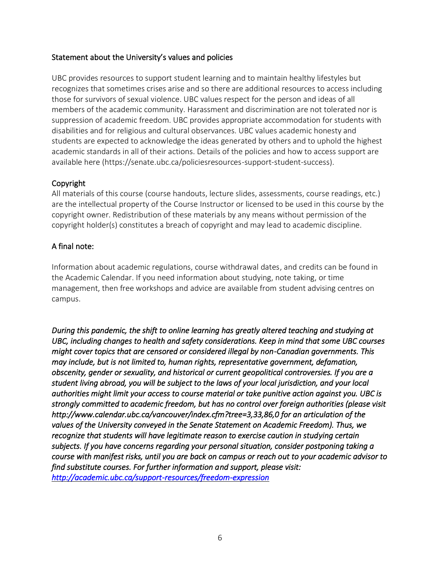#### Statement about the University's values and policies

UBC provides resources to support student learning and to maintain healthy lifestyles but recognizes that sometimes crises arise and so there are additional resources to access including those for survivors of sexual violence. UBC values respect for the person and ideas of all members of the academic community. Harassment and discrimination are not tolerated nor is suppression of academic freedom. UBC provides appropriate accommodation for students with disabilities and for religious and cultural observances. UBC values academic honesty and students are expected to acknowledge the ideas generated by others and to uphold the highest academic standards in all of their actions. Details of the policies and how to access support are available here (https://senate.ubc.ca/policiesresources-support-student-success).

## Copyright

All materials of this course (course handouts, lecture slides, assessments, course readings, etc.) are the intellectual property of the Course Instructor or licensed to be used in this course by the copyright owner. Redistribution of these materials by any means without permission of the copyright holder(s) constitutes a breach of copyright and may lead to academic discipline.

## A final note:

Information about academic regulations, course withdrawal dates, and credits can be found in the Academic Calendar. If you need information about studying, note taking, or time management, then free workshops and advice are available from student advising centres on campus.

*During this pandemic, the shift to online learning has greatly altered teaching and studying at UBC, including changes to health and safety considerations. Keep in mind that some UBC courses might cover topics that are censored or considered illegal by non-Canadian governments. This may include, but is not limited to, human rights, representative government, defamation, obscenity, gender or sexuality, and historical or current geopolitical controversies. If you are a student living abroad, you will be subject to the laws of your local jurisdiction, and your local authorities might limit your access to course material or take punitive action against you. UBC is strongly committed to academic freedom, but has no control over foreign authorities (please visit http://www.calendar.ubc.ca/vancouver/index.cfm?tree=3,33,86,0 for an articulation of the values of the University conveyed in the Senate Statement on Academic Freedom). Thus, we recognize that students will have legitimate reason to exercise caution in studying certain subjects. If you have concerns regarding your personal situation, consider postponing taking a course with manifest risks, until you are back on campus or reach out to your academic advisor to find substitute courses. For further information and support, please visit: <http://academic.ubc.ca/support-resources/freedom-expression>*